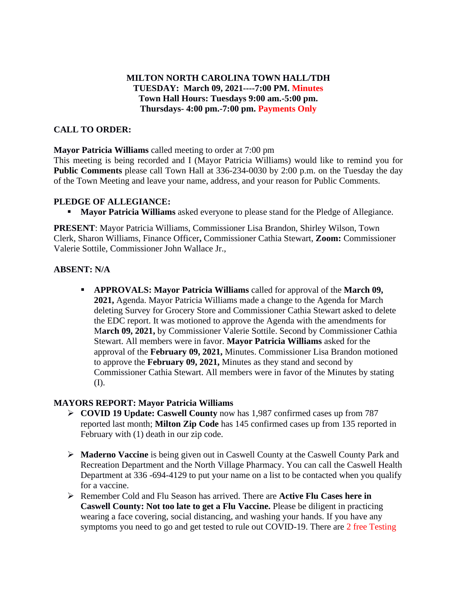# **MILTON NORTH CAROLINA TOWN HALL/TDH TUESDAY: March 09, 2021----7:00 PM. Minutes Town Hall Hours: Tuesdays 9:00 am.-5:00 pm. Thursdays- 4:00 pm.-7:00 pm. Payments Only**

# **CALL TO ORDER:**

**Mayor Patricia Williams** called meeting to order at 7:00 pm

This meeting is being recorded and I (Mayor Patricia Williams) would like to remind you for **Public Comments** please call Town Hall at 336-234-0030 by 2:00 p.m. on the Tuesday the day of the Town Meeting and leave your name, address, and your reason for Public Comments.

## **PLEDGE OF ALLEGIANCE:**

**• Mayor Patricia Williams** asked everyone to please stand for the Pledge of Allegiance.

**PRESENT**: Mayor Patricia Williams, Commissioner Lisa Brandon, Shirley Wilson, Town Clerk, Sharon Williams, Finance Officer**,** Commissioner Cathia Stewart, **Zoom:** Commissioner Valerie Sottile, Commissioner John Wallace Jr.,

## **ABSENT: N/A**

▪ **APPROVALS: Mayor Patricia Williams** called for approval of the **March 09, 2021,** Agenda. Mayor Patricia Williams made a change to the Agenda for March deleting Survey for Grocery Store and Commissioner Cathia Stewart asked to delete the EDC report. It was motioned to approve the Agenda with the amendments for M**arch 09, 2021,** by Commissioner Valerie Sottile. Second by Commissioner Cathia Stewart. All members were in favor. **Mayor Patricia Williams** asked for the approval of the **February 09, 2021,** Minutes. Commissioner Lisa Brandon motioned to approve the **February 09, 2021,** Minutes as they stand and second by Commissioner Cathia Stewart. All members were in favor of the Minutes by stating (I).

# **MAYORS REPORT: Mayor Patricia Williams**

- ➢ **COVID 19 Update: Caswell County** now has 1,987 confirmed cases up from 787 reported last month; **Milton Zip Code** has 145 confirmed cases up from 135 reported in February with (1) death in our zip code.
- ➢ **Maderno Vaccine** is being given out in Caswell County at the Caswell County Park and Recreation Department and the North Village Pharmacy. You can call the Caswell Health Department at 336 -694-4129 to put your name on a list to be contacted when you qualify for a vaccine.
- ➢ Remember Cold and Flu Season has arrived. There are **Active Flu Cases here in Caswell County: Not too late to get a Flu Vaccine.** Please be diligent in practicing wearing a face covering, social distancing, and washing your hands. If you have any symptoms you need to go and get tested to rule out COVID-19. There are 2 free Testing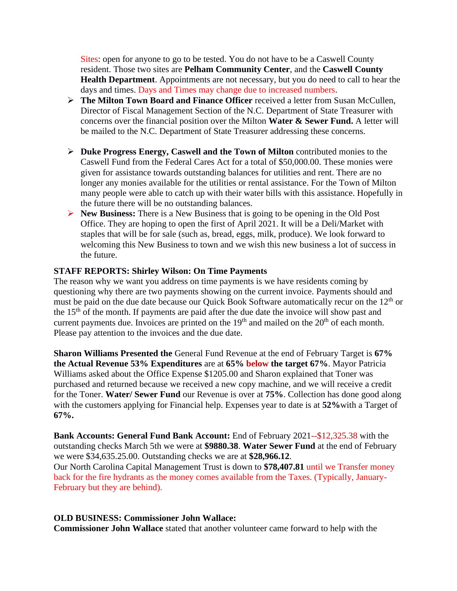Sites: open for anyone to go to be tested. You do not have to be a Caswell County resident. Those two sites are **Pelham Community Center**, and the **Caswell County Health Department**. Appointments are not necessary, but you do need to call to hear the days and times. Days and Times may change due to increased numbers.

- ➢ **The Milton Town Board and Finance Officer** received a letter from Susan McCullen, Director of Fiscal Management Section of the N.C. Department of State Treasurer with concerns over the financial position over the Milton **Water & Sewer Fund.** A letter will be mailed to the N.C. Department of State Treasurer addressing these concerns.
- ➢ **Duke Progress Energy, Caswell and the Town of Milton** contributed monies to the Caswell Fund from the Federal Cares Act for a total of \$50,000.00. These monies were given for assistance towards outstanding balances for utilities and rent. There are no longer any monies available for the utilities or rental assistance. For the Town of Milton many people were able to catch up with their water bills with this assistance. Hopefully in the future there will be no outstanding balances.
- ➢ **New Business:** There is a New Business that is going to be opening in the Old Post Office. They are hoping to open the first of April 2021. It will be a Deli/Market with staples that will be for sale (such as, bread, eggs, milk, produce). We look forward to welcoming this New Business to town and we wish this new business a lot of success in the future.

### **STAFF REPORTS: Shirley Wilson: On Time Payments**

The reason why we want you address on time payments is we have residents coming by questioning why there are two payments showing on the current invoice. Payments should and must be paid on the due date because our Quick Book Software automatically recur on the  $12<sup>th</sup>$  or the 15<sup>th</sup> of the month. If payments are paid after the due date the invoice will show past and current payments due. Invoices are printed on the  $19<sup>th</sup>$  and mailed on the  $20<sup>th</sup>$  of each month. Please pay attention to the invoices and the due date.

**Sharon Williams Presented the** General Fund Revenue at the end of February Target is **67% the Actual Revenue 53% Expenditures** are at **65% below the target 67%**. Mayor Patricia Williams asked about the Office Expense \$1205.00 and Sharon explained that Toner was purchased and returned because we received a new copy machine, and we will receive a credit for the Toner. **Water/ Sewer Fund** our Revenue is over at **75%**. Collection has done good along with the customers applying for Financial help. Expenses year to date is at **52%**with a Target of **67%.**

**Bank Accounts: General Fund Bank Account:** End of February 2021--\$12,325.38 with the outstanding checks March 5th we were at **\$9880.38**. **Water Sewer Fund** at the end of February we were \$34,635.25.00. Outstanding checks we are at **\$28,966.12**. Our North Carolina Capital Management Trust is down to **\$78,407.81** until we Transfer money back for the fire hydrants as the money comes available from the Taxes. (Typically, January-February but they are behind).

### **OLD BUSINESS: Commissioner John Wallace:**

**Commissioner John Wallace** stated that another volunteer came forward to help with the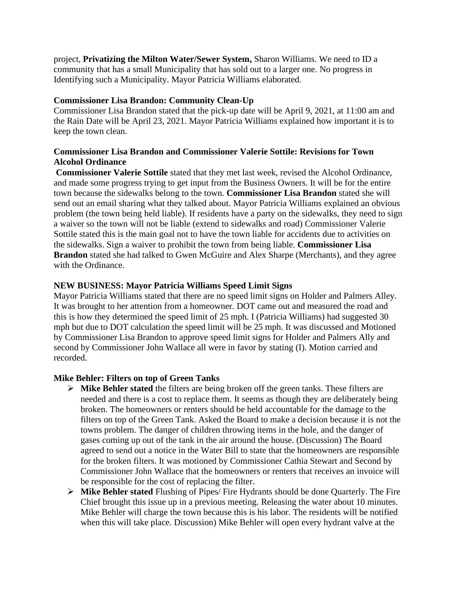project, **Privatizing the Milton Water/Sewer System,** Sharon Williams. We need to ID a community that has a small Municipality that has sold out to a larger one. No progress in Identifying such a Municipality. Mayor Patricia Williams elaborated.

## **Commissioner Lisa Brandon: Community Clean-Up**

Commissioner Lisa Brandon stated that the pick-up date will be April 9, 2021, at 11:00 am and the Rain Date will be April 23, 2021. Mayor Patricia Williams explained how important it is to keep the town clean.

# **Commissioner Lisa Brandon and Commissioner Valerie Sottile: Revisions for Town Alcohol Ordinance**

**Commissioner Valerie Sottile** stated that they met last week, revised the Alcohol Ordinance, and made some progress trying to get input from the Business Owners. It will be for the entire town because the sidewalks belong to the town. **Commissioner Lisa Brandon** stated she will send out an email sharing what they talked about. Mayor Patricia Williams explained an obvious problem (the town being held liable). If residents have a party on the sidewalks, they need to sign a waiver so the town will not be liable (extend to sidewalks and road) Commissioner Valerie Sottile stated this is the main goal not to have the town liable for accidents due to activities on the sidewalks. Sign a waiver to prohibit the town from being liable. **Commissioner Lisa Brandon** stated she had talked to Gwen McGuire and Alex Sharpe (Merchants), and they agree with the Ordinance.

## **NEW BUSINESS: Mayor Patricia Williams Speed Limit Signs**

Mayor Patricia Williams stated that there are no speed limit signs on Holder and Palmers Alley. It was brought to her attention from a homeowner. DOT came out and measured the road and this is how they determined the speed limit of 25 mph. I (Patricia Williams) had suggested 30 mph but due to DOT calculation the speed limit will be 25 mph. It was discussed and Motioned by Commissioner Lisa Brandon to approve speed limit signs for Holder and Palmers Ally and second by Commissioner John Wallace all were in favor by stating (I). Motion carried and recorded.

# **Mike Behler: Filters on top of Green Tanks**

- ➢ **Mike Behler stated** the filters are being broken off the green tanks. These filters are needed and there is a cost to replace them. It seems as though they are deliberately being broken. The homeowners or renters should be held accountable for the damage to the filters on top of the Green Tank. Asked the Board to make a decision because it is not the towns problem. The danger of children throwing items in the hole, and the danger of gases coming up out of the tank in the air around the house. (Discussion) The Board agreed to send out a notice in the Water Bill to state that the homeowners are responsible for the broken filters. It was motioned by Commissioner Cathia Stewart and Second by Commissioner John Wallace that the homeowners or renters that receives an invoice will be responsible for the cost of replacing the filter.
- ➢ **Mike Behler stated** Flushing of Pipes/ Fire Hydrants should be done Quarterly. The Fire Chief brought this issue up in a previous meeting. Releasing the water about 10 minutes. Mike Behler will charge the town because this is his labor. The residents will be notified when this will take place. Discussion) Mike Behler will open every hydrant valve at the